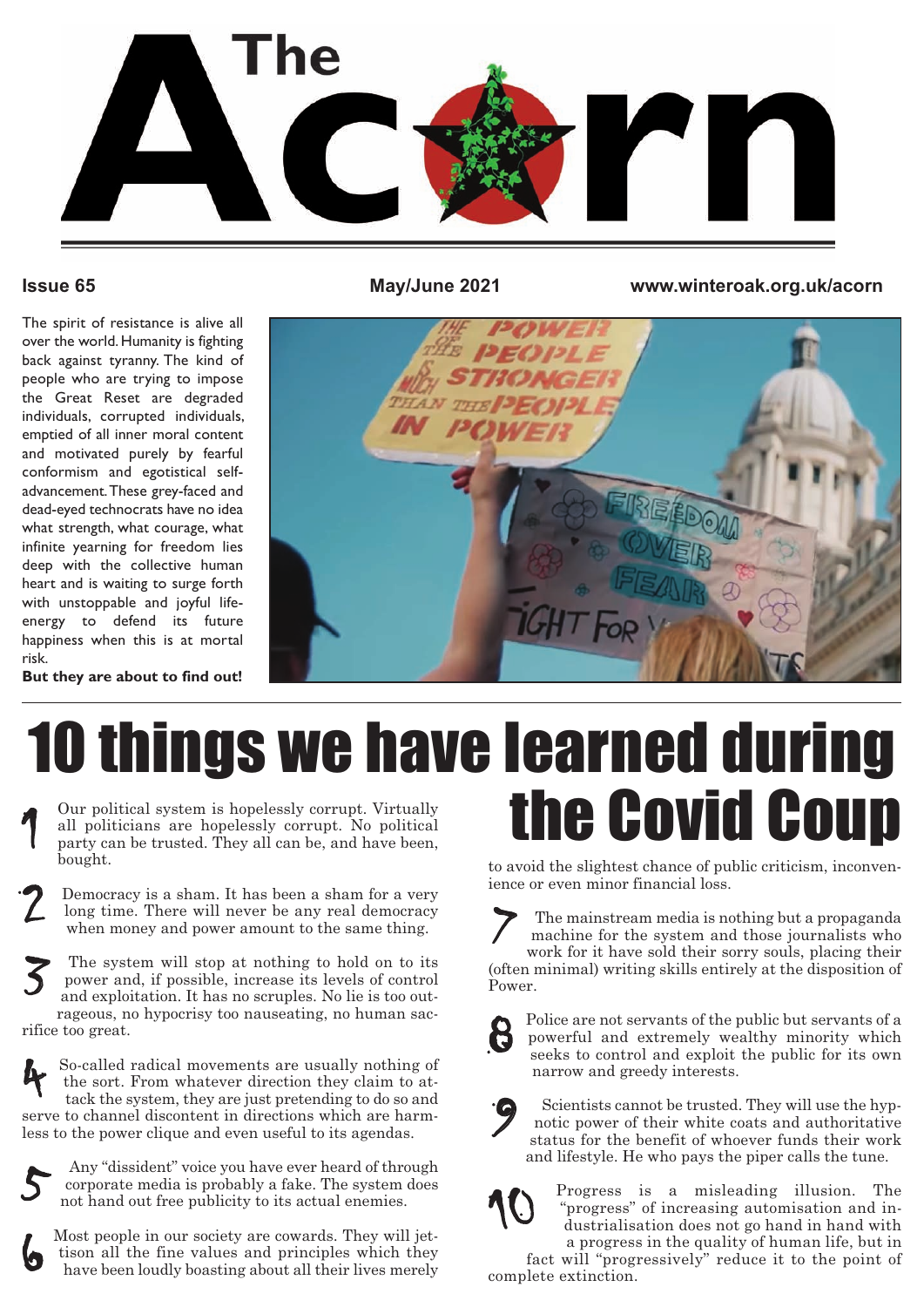

The spirit of resistance is alive all over the world. Humanity is fighting back against tyranny. The kind of people who are trying to impose the Great Reset are degraded individuals, corrupted individuals, emptied of all inner moral content and motivated purely by fearful conformism and egotistical selfadvancement.These grey-faced and dead-eyed technocrats have no idea what strength, what courage, what infinite yearning for freedom lies deep with the collective human heart and is waiting to surge forth with unstoppable and joyful lifeenergy to defend its future happiness when this is at mortal risk.

**Issue 65 May/June 2021 www.winteroak.org.uk/acorn**



#### **But they are about to find out!**

#### Our political system is hopelessly corrupt. Virtually 10 things we have learned during the Covid Coup

all politicians are hopelessly corrupt. No political party can be trusted. They all can be, and have been, bought.

Democracy is a sham. It has been a sham for a very long time. There will never be any real democracy when money and power amount to the same thing.

The system will stop at nothing to hold on to its power and, if possible, increase its levels of control and exploitation. It has no scruples. No lie is too outrageous, no hypocrisy too nauseating, no human sacrifice too great. 3

So-called radical movements are usually nothing of the sort. From whatever direction they claim to attack the system, they are just pretending to do so and serve to channel discontent in directions which are harmless to the power clique and even useful to its agendas. 4



6

2

Any "dissident" voice you have ever heard of through corporate media is probably a fake. The system does not hand out free publicity to its actual enemies.

Most people in our society are cowards. They will jettison all the fine values and principles which they have been loudly boasting about all their lives merely

to avoid the slightest chance of public criticism, inconvenience or even minor financial loss.

The mainstream media is nothing but a propaganda machine for the system and those journalists who work for it have sold their sorry souls, placing their (often minimal) writing skills entirely at the disposition of Power. 7



Police are not servants of the public but servants of a powerful and extremely wealthy minority which seeks to control and exploit the public for its own narrow and greedy interests.



Scientists cannot be trusted. They will use the hypnotic power of their white coats and authoritative status for the benefit of whoever funds their work and lifestyle. He who pays the piper calls the tune.



Progress is a misleading illusion. The "progress" of increasing automisation and industrialisation does not go hand in hand with a progress in the quality of human life, but in

fact will "progressively" reduce it to the point of complete extinction.